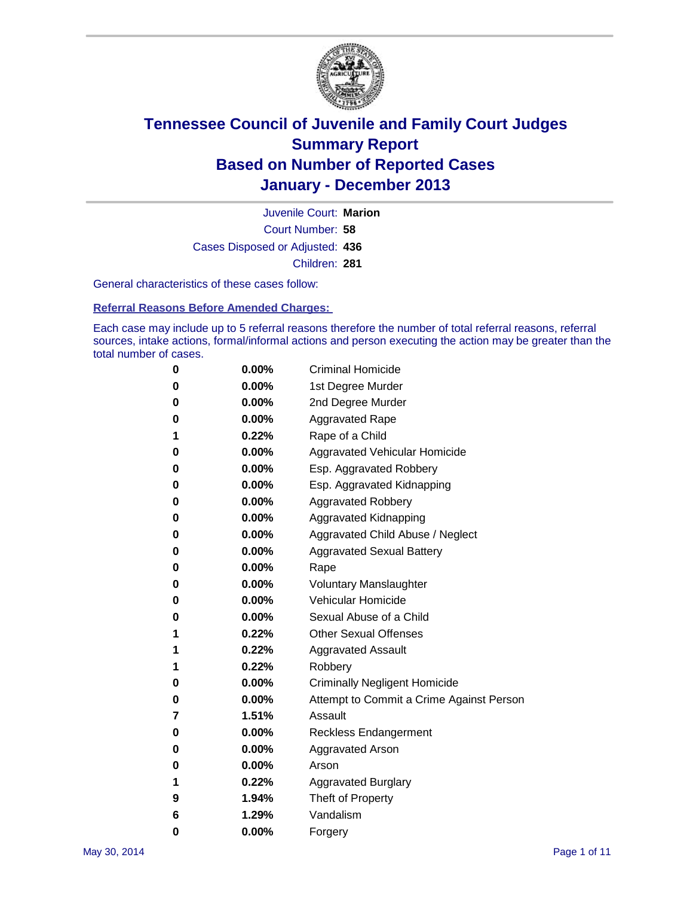

Court Number: **58** Juvenile Court: **Marion** Cases Disposed or Adjusted: **436** Children: **281**

General characteristics of these cases follow:

**Referral Reasons Before Amended Charges:** 

Each case may include up to 5 referral reasons therefore the number of total referral reasons, referral sources, intake actions, formal/informal actions and person executing the action may be greater than the total number of cases.

| 0 | 0.00%    | <b>Criminal Homicide</b>                 |
|---|----------|------------------------------------------|
| 0 | 0.00%    | 1st Degree Murder                        |
| 0 | 0.00%    | 2nd Degree Murder                        |
| 0 | $0.00\%$ | <b>Aggravated Rape</b>                   |
| 1 | 0.22%    | Rape of a Child                          |
| 0 | 0.00%    | Aggravated Vehicular Homicide            |
| 0 | $0.00\%$ | Esp. Aggravated Robbery                  |
| 0 | $0.00\%$ | Esp. Aggravated Kidnapping               |
| 0 | 0.00%    | <b>Aggravated Robbery</b>                |
| 0 | $0.00\%$ | Aggravated Kidnapping                    |
| 0 | 0.00%    | Aggravated Child Abuse / Neglect         |
| 0 | 0.00%    | <b>Aggravated Sexual Battery</b>         |
| 0 | 0.00%    | Rape                                     |
| 0 | $0.00\%$ | <b>Voluntary Manslaughter</b>            |
| 0 | 0.00%    | <b>Vehicular Homicide</b>                |
| 0 | 0.00%    | Sexual Abuse of a Child                  |
| 1 | 0.22%    | <b>Other Sexual Offenses</b>             |
| 1 | 0.22%    | <b>Aggravated Assault</b>                |
| 1 | 0.22%    | Robbery                                  |
| 0 | $0.00\%$ | <b>Criminally Negligent Homicide</b>     |
| 0 | $0.00\%$ | Attempt to Commit a Crime Against Person |
| 7 | 1.51%    | Assault                                  |
| 0 | 0.00%    | Reckless Endangerment                    |
| 0 | $0.00\%$ | <b>Aggravated Arson</b>                  |
| 0 | 0.00%    | Arson                                    |
| 1 | 0.22%    | <b>Aggravated Burglary</b>               |
| 9 | 1.94%    | Theft of Property                        |
| 6 | 1.29%    | Vandalism                                |
| 0 | 0.00%    | Forgery                                  |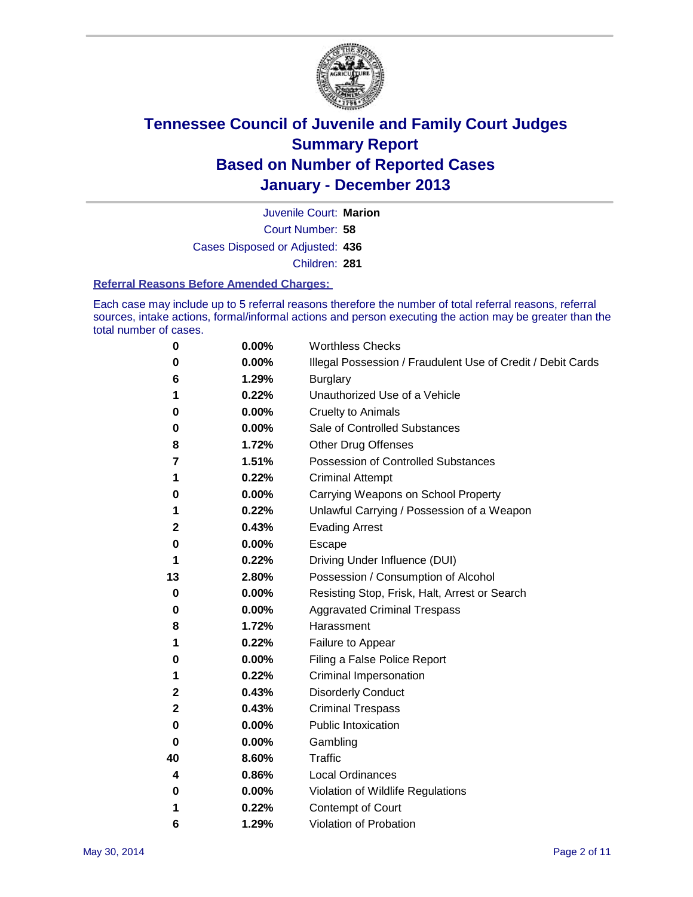

Court Number: **58** Juvenile Court: **Marion** Cases Disposed or Adjusted: **436** Children: **281**

#### **Referral Reasons Before Amended Charges:**

Each case may include up to 5 referral reasons therefore the number of total referral reasons, referral sources, intake actions, formal/informal actions and person executing the action may be greater than the total number of cases.

| 0  | 0.00% | <b>Worthless Checks</b>                                     |
|----|-------|-------------------------------------------------------------|
| 0  | 0.00% | Illegal Possession / Fraudulent Use of Credit / Debit Cards |
| 6  | 1.29% | <b>Burglary</b>                                             |
| 1  | 0.22% | Unauthorized Use of a Vehicle                               |
| 0  | 0.00% | <b>Cruelty to Animals</b>                                   |
| 0  | 0.00% | Sale of Controlled Substances                               |
| 8  | 1.72% | <b>Other Drug Offenses</b>                                  |
| 7  | 1.51% | Possession of Controlled Substances                         |
| 1  | 0.22% | <b>Criminal Attempt</b>                                     |
| 0  | 0.00% | Carrying Weapons on School Property                         |
| 1  | 0.22% | Unlawful Carrying / Possession of a Weapon                  |
| 2  | 0.43% | <b>Evading Arrest</b>                                       |
| 0  | 0.00% | Escape                                                      |
| 1  | 0.22% | Driving Under Influence (DUI)                               |
| 13 | 2.80% | Possession / Consumption of Alcohol                         |
| 0  | 0.00% | Resisting Stop, Frisk, Halt, Arrest or Search               |
| 0  | 0.00% | <b>Aggravated Criminal Trespass</b>                         |
| 8  | 1.72% | Harassment                                                  |
| 1  | 0.22% | Failure to Appear                                           |
| 0  | 0.00% | Filing a False Police Report                                |
| 1  | 0.22% | Criminal Impersonation                                      |
| 2  | 0.43% | <b>Disorderly Conduct</b>                                   |
| 2  | 0.43% | <b>Criminal Trespass</b>                                    |
| 0  | 0.00% | <b>Public Intoxication</b>                                  |
| 0  | 0.00% | Gambling                                                    |
| 40 | 8.60% | <b>Traffic</b>                                              |
| 4  | 0.86% | <b>Local Ordinances</b>                                     |
| 0  | 0.00% | Violation of Wildlife Regulations                           |
| 1  | 0.22% | Contempt of Court                                           |
| 6  | 1.29% | Violation of Probation                                      |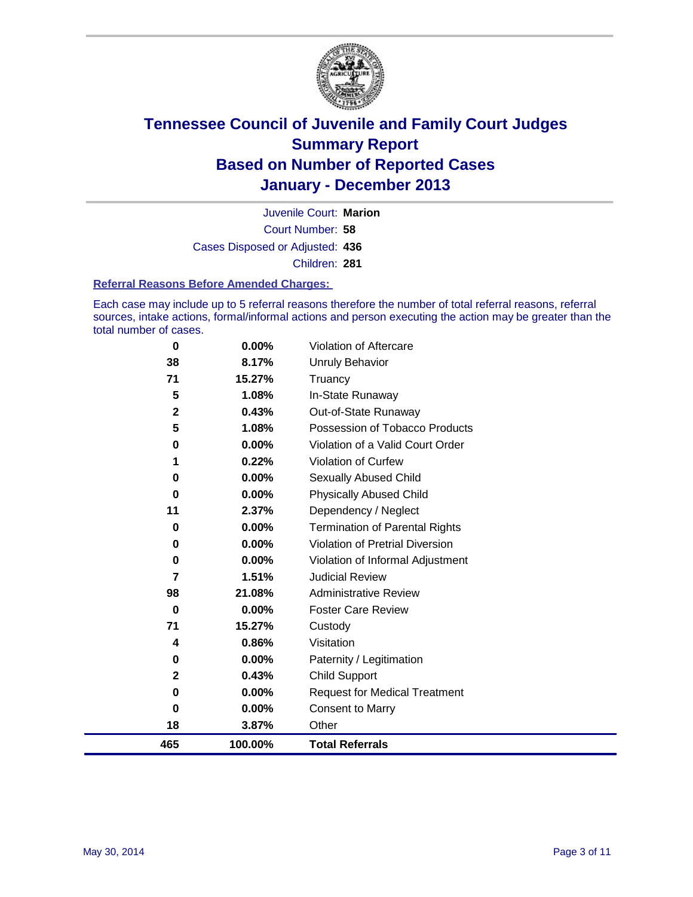

Court Number: **58** Juvenile Court: **Marion** Cases Disposed or Adjusted: **436** Children: **281**

#### **Referral Reasons Before Amended Charges:**

Each case may include up to 5 referral reasons therefore the number of total referral reasons, referral sources, intake actions, formal/informal actions and person executing the action may be greater than the total number of cases.

| $\bf{0}$     | $0.00\%$ | Violation of Aftercare                |
|--------------|----------|---------------------------------------|
| 38           | 8.17%    | Unruly Behavior                       |
| 71           | 15.27%   | Truancy                               |
| 5            | 1.08%    | In-State Runaway                      |
| $\mathbf{2}$ | 0.43%    | Out-of-State Runaway                  |
| 5            | 1.08%    | Possession of Tobacco Products        |
| 0            | 0.00%    | Violation of a Valid Court Order      |
| 1            | 0.22%    | <b>Violation of Curfew</b>            |
| 0            | 0.00%    | <b>Sexually Abused Child</b>          |
| 0            | 0.00%    | <b>Physically Abused Child</b>        |
| 11           | 2.37%    | Dependency / Neglect                  |
| $\bf{0}$     | 0.00%    | <b>Termination of Parental Rights</b> |
| 0            | 0.00%    | Violation of Pretrial Diversion       |
| 0            | 0.00%    | Violation of Informal Adjustment      |
| 7            | 1.51%    | <b>Judicial Review</b>                |
| 98           | 21.08%   | <b>Administrative Review</b>          |
| $\bf{0}$     | 0.00%    | <b>Foster Care Review</b>             |
| 71           | 15.27%   | Custody                               |
| 4            | 0.86%    | Visitation                            |
| 0            | 0.00%    | Paternity / Legitimation              |
| $\mathbf{2}$ | 0.43%    | <b>Child Support</b>                  |
| $\bf{0}$     | 0.00%    | <b>Request for Medical Treatment</b>  |
| 0            | 0.00%    | <b>Consent to Marry</b>               |
| 18           | 3.87%    | Other                                 |
| 465          | 100.00%  | <b>Total Referrals</b>                |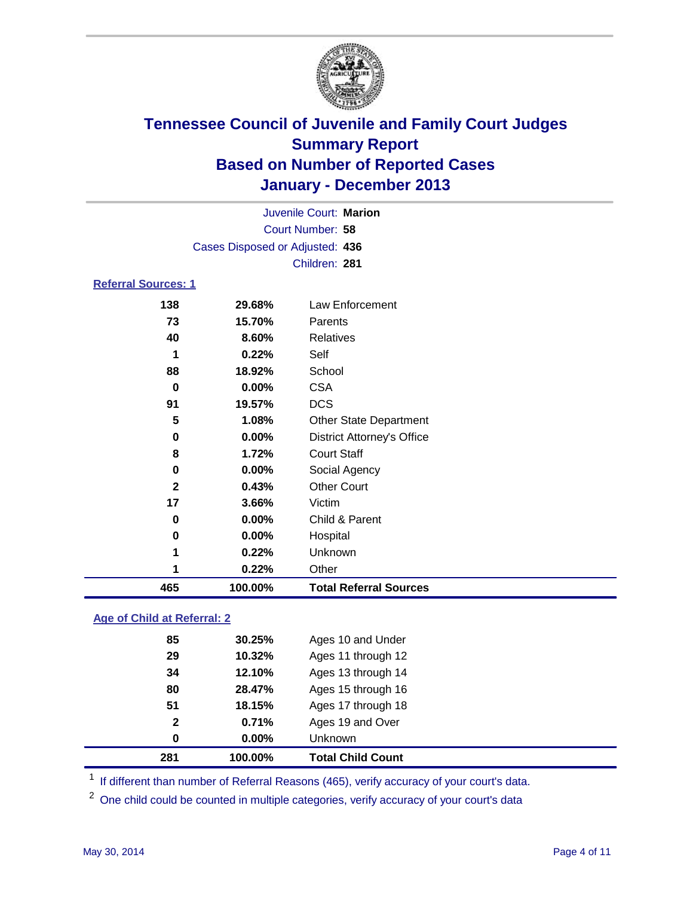

| 465                             | 100.00%                | <b>Total Referral Sources</b>     |  |  |  |
|---------------------------------|------------------------|-----------------------------------|--|--|--|
| 1                               | 0.22%                  | Other                             |  |  |  |
| 1                               | 0.22%                  | Unknown                           |  |  |  |
| 0                               | 0.00%                  | Hospital                          |  |  |  |
| 0                               | 0.00%                  | Child & Parent                    |  |  |  |
| 17                              | 3.66%                  | Victim                            |  |  |  |
| $\mathbf{2}$                    | 0.43%                  | <b>Other Court</b>                |  |  |  |
| 0                               | 0.00%                  | Social Agency                     |  |  |  |
| 8                               | 1.72%                  | <b>Court Staff</b>                |  |  |  |
| 0                               | $0.00\%$               | <b>District Attorney's Office</b> |  |  |  |
| 5                               | 1.08%                  | <b>Other State Department</b>     |  |  |  |
| 91                              | 19.57%                 | <b>DCS</b>                        |  |  |  |
| $\bf{0}$                        | 0.00%                  | <b>CSA</b>                        |  |  |  |
| 88                              | 18.92%                 | School                            |  |  |  |
| 1                               | 0.22%                  | Self                              |  |  |  |
| 40                              | 8.60%                  | <b>Relatives</b>                  |  |  |  |
| 73                              | 15.70%                 | Parents                           |  |  |  |
| 138                             | 29.68%                 | Law Enforcement                   |  |  |  |
| <b>Referral Sources: 1</b>      |                        |                                   |  |  |  |
|                                 |                        | Children: 281                     |  |  |  |
| Cases Disposed or Adjusted: 436 |                        |                                   |  |  |  |
|                                 | Court Number: 58       |                                   |  |  |  |
|                                 | Juvenile Court: Marion |                                   |  |  |  |
|                                 |                        |                                   |  |  |  |

### **Age of Child at Referral: 2**

| 0            | 0.00%  | <b>Unknown</b>     |  |
|--------------|--------|--------------------|--|
|              |        |                    |  |
| $\mathbf{2}$ | 0.71%  | Ages 19 and Over   |  |
| 51           | 18.15% | Ages 17 through 18 |  |
| 80           | 28.47% | Ages 15 through 16 |  |
| 34           | 12.10% | Ages 13 through 14 |  |
| 29           | 10.32% | Ages 11 through 12 |  |
| 85           | 30.25% | Ages 10 and Under  |  |
|              |        |                    |  |

<sup>1</sup> If different than number of Referral Reasons (465), verify accuracy of your court's data.

<sup>2</sup> One child could be counted in multiple categories, verify accuracy of your court's data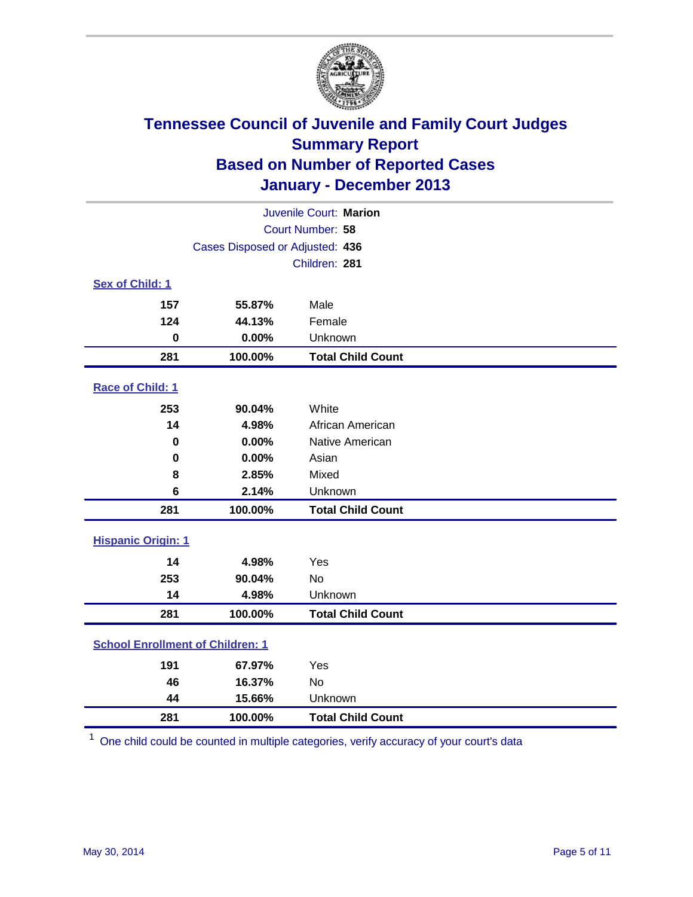

| Juvenile Court: Marion                  |                                 |                          |  |  |
|-----------------------------------------|---------------------------------|--------------------------|--|--|
| Court Number: 58                        |                                 |                          |  |  |
|                                         | Cases Disposed or Adjusted: 436 |                          |  |  |
|                                         |                                 | Children: 281            |  |  |
| Sex of Child: 1                         |                                 |                          |  |  |
| 157                                     | 55.87%                          | Male                     |  |  |
| 124                                     | 44.13%                          | Female                   |  |  |
| $\bf{0}$                                | 0.00%                           | Unknown                  |  |  |
| 281                                     | 100.00%                         | <b>Total Child Count</b> |  |  |
| Race of Child: 1                        |                                 |                          |  |  |
| 253                                     | 90.04%                          | White                    |  |  |
| 14                                      | 4.98%                           | African American         |  |  |
| 0                                       | 0.00%                           | Native American          |  |  |
| $\bf{0}$                                | 0.00%                           | Asian                    |  |  |
| 8                                       | 2.85%                           | Mixed                    |  |  |
| 6                                       | 2.14%                           | Unknown                  |  |  |
| 281                                     | 100.00%                         | <b>Total Child Count</b> |  |  |
| <b>Hispanic Origin: 1</b>               |                                 |                          |  |  |
| 14                                      | 4.98%                           | Yes                      |  |  |
| 253                                     | 90.04%                          | No                       |  |  |
| 14                                      | 4.98%                           | Unknown                  |  |  |
| 281                                     | 100.00%                         | <b>Total Child Count</b> |  |  |
| <b>School Enrollment of Children: 1</b> |                                 |                          |  |  |
| 191                                     | 67.97%                          | Yes                      |  |  |
| 46                                      | 16.37%                          | <b>No</b>                |  |  |
| 44                                      | 15.66%                          | Unknown                  |  |  |
| 281                                     | 100.00%                         | <b>Total Child Count</b> |  |  |

One child could be counted in multiple categories, verify accuracy of your court's data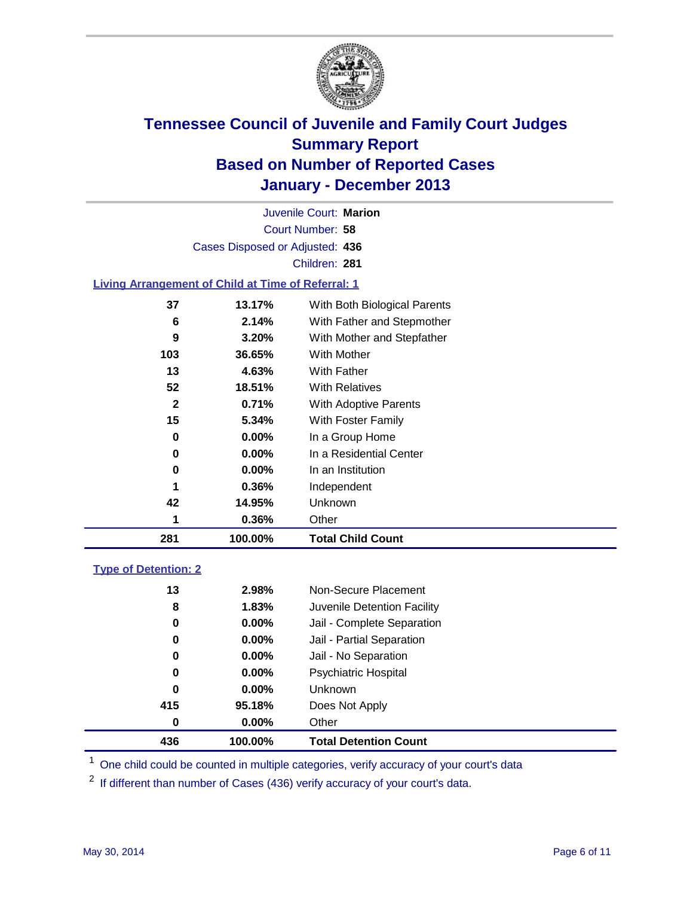

Court Number: **58** Juvenile Court: **Marion** Cases Disposed or Adjusted: **436** Children: **281**

#### **Living Arrangement of Child at Time of Referral: 1**

| 281 | 100.00%  | <b>Total Child Count</b>     |  |
|-----|----------|------------------------------|--|
| 1   | 0.36%    | Other                        |  |
| 42  | 14.95%   | Unknown                      |  |
| 1   | 0.36%    | Independent                  |  |
| 0   | $0.00\%$ | In an Institution            |  |
| 0   | $0.00\%$ | In a Residential Center      |  |
| 0   | 0.00%    | In a Group Home              |  |
| 15  | 5.34%    | With Foster Family           |  |
| 2   | 0.71%    | <b>With Adoptive Parents</b> |  |
| 52  | 18.51%   | <b>With Relatives</b>        |  |
| 13  | 4.63%    | With Father                  |  |
| 103 | 36.65%   | With Mother                  |  |
| 9   | 3.20%    | With Mother and Stepfather   |  |
| 6   | 2.14%    | With Father and Stepmother   |  |
| 37  | 13.17%   | With Both Biological Parents |  |
|     |          |                              |  |

#### **Type of Detention: 2**

| 436 | 100.00%       | <b>Total Detention Count</b> |
|-----|---------------|------------------------------|
|     | 0.00%<br>0    | Other                        |
| 415 | 95.18%        | Does Not Apply               |
|     | 0<br>$0.00\%$ | <b>Unknown</b>               |
|     | 0<br>$0.00\%$ | <b>Psychiatric Hospital</b>  |
|     | 0.00%<br>0    | Jail - No Separation         |
|     | 0<br>0.00%    | Jail - Partial Separation    |
|     | 0.00%<br>0    | Jail - Complete Separation   |
|     | 1.83%<br>8    | Juvenile Detention Facility  |
|     | 2.98%<br>13   | Non-Secure Placement         |
|     |               |                              |

<sup>1</sup> One child could be counted in multiple categories, verify accuracy of your court's data

If different than number of Cases (436) verify accuracy of your court's data.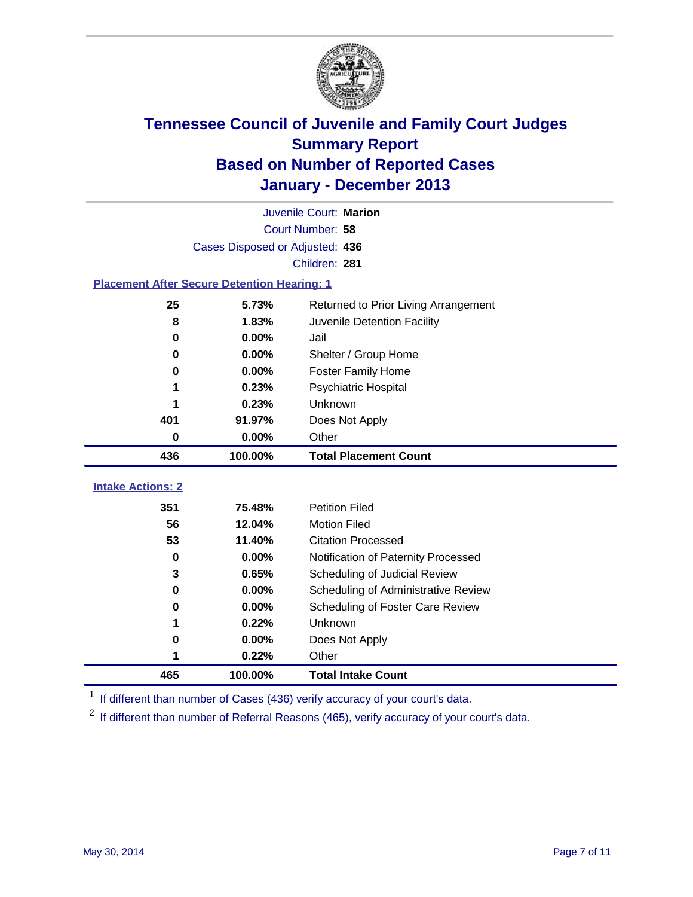

|                                                    | Juvenile Court: Marion          |                                      |  |  |
|----------------------------------------------------|---------------------------------|--------------------------------------|--|--|
|                                                    | Court Number: 58                |                                      |  |  |
|                                                    | Cases Disposed or Adjusted: 436 |                                      |  |  |
|                                                    |                                 | Children: 281                        |  |  |
| <b>Placement After Secure Detention Hearing: 1</b> |                                 |                                      |  |  |
| 25                                                 | 5.73%                           | Returned to Prior Living Arrangement |  |  |
| 8                                                  | 1.83%                           | Juvenile Detention Facility          |  |  |
| $\bf{0}$                                           | 0.00%                           | Jail                                 |  |  |
| $\bf{0}$                                           | 0.00%                           | Shelter / Group Home                 |  |  |
| 0                                                  | 0.00%                           | <b>Foster Family Home</b>            |  |  |
| 1                                                  | 0.23%                           | Psychiatric Hospital                 |  |  |
|                                                    | 0.23%                           | Unknown                              |  |  |
| 401                                                | 91.97%                          | Does Not Apply                       |  |  |
| $\bf{0}$                                           | 0.00%                           | Other                                |  |  |
|                                                    |                                 |                                      |  |  |
| 436                                                | 100.00%                         | <b>Total Placement Count</b>         |  |  |
|                                                    |                                 |                                      |  |  |
| <b>Intake Actions: 2</b>                           |                                 |                                      |  |  |
| 351                                                | 75.48%                          | <b>Petition Filed</b>                |  |  |
| 56                                                 | 12.04%                          | <b>Motion Filed</b>                  |  |  |
| 53                                                 | 11.40%                          | <b>Citation Processed</b>            |  |  |
| 0                                                  | 0.00%                           | Notification of Paternity Processed  |  |  |
| 3                                                  | 0.65%                           | Scheduling of Judicial Review        |  |  |
| $\bf{0}$                                           | 0.00%                           | Scheduling of Administrative Review  |  |  |
| $\bf{0}$                                           | 0.00%                           | Scheduling of Foster Care Review     |  |  |
| 1                                                  | 0.22%                           | Unknown                              |  |  |
| 0                                                  | 0.00%                           | Does Not Apply                       |  |  |
| 1<br>465                                           | 0.22%                           | Other                                |  |  |

<sup>1</sup> If different than number of Cases (436) verify accuracy of your court's data.

If different than number of Referral Reasons (465), verify accuracy of your court's data.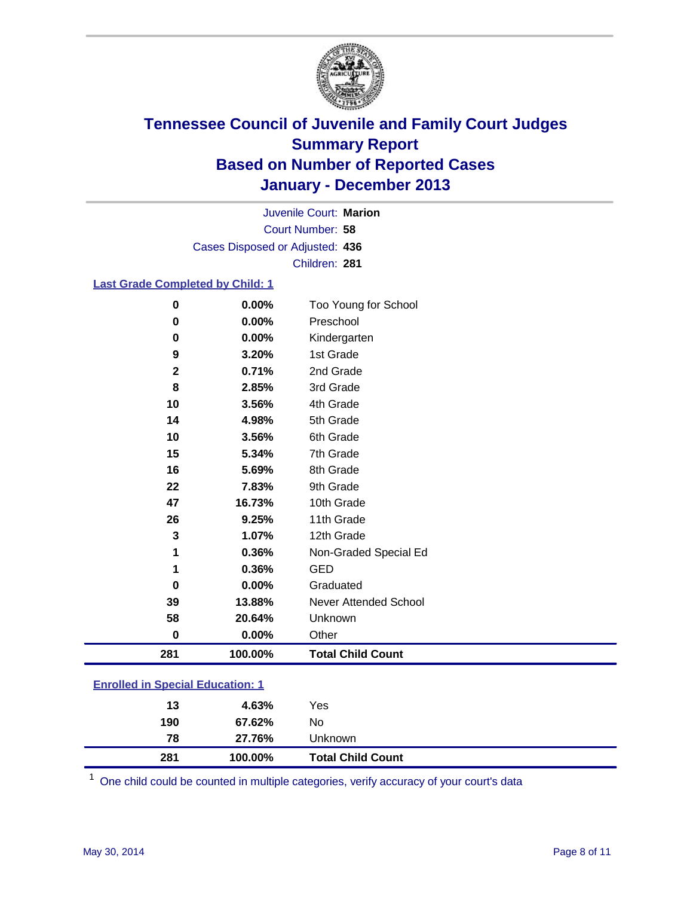

Court Number: **58** Juvenile Court: **Marion** Cases Disposed or Adjusted: **436** Children: **281**

### **Last Grade Completed by Child: 1**

| 281          | 100.00% | <b>Total Child Count</b> |
|--------------|---------|--------------------------|
| $\bf{0}$     | 0.00%   | Other                    |
| 58           | 20.64%  | Unknown                  |
| 39           | 13.88%  | Never Attended School    |
| $\bf{0}$     | 0.00%   | Graduated                |
| 1            | 0.36%   | <b>GED</b>               |
| 1            | 0.36%   | Non-Graded Special Ed    |
| 3            | 1.07%   | 12th Grade               |
| 26           | 9.25%   | 11th Grade               |
| 47           | 16.73%  | 10th Grade               |
| 22           | 7.83%   | 9th Grade                |
| 16           | 5.69%   | 8th Grade                |
| 15           | 5.34%   | 7th Grade                |
| 10           | 3.56%   | 6th Grade                |
| 14           | 4.98%   | 5th Grade                |
| 10           | 3.56%   | 4th Grade                |
| 8            | 2.85%   | 3rd Grade                |
| $\mathbf{2}$ | 0.71%   | 2nd Grade                |
| 9            | 3.20%   | 1st Grade                |
| $\bf{0}$     | 0.00%   | Kindergarten             |
| 0            | 0.00%   | Preschool                |
| $\bf{0}$     | 0.00%   | Too Young for School     |

| <b>Enrolled in Special Education: 1</b> |  |
|-----------------------------------------|--|
|                                         |  |

| 13        | 4.63%            | Yes                      |  |
|-----------|------------------|--------------------------|--|
| 190<br>78 | 67.62%<br>27.76% | No<br>Unknown            |  |
| 281       | 100.00%          | <b>Total Child Count</b> |  |

One child could be counted in multiple categories, verify accuracy of your court's data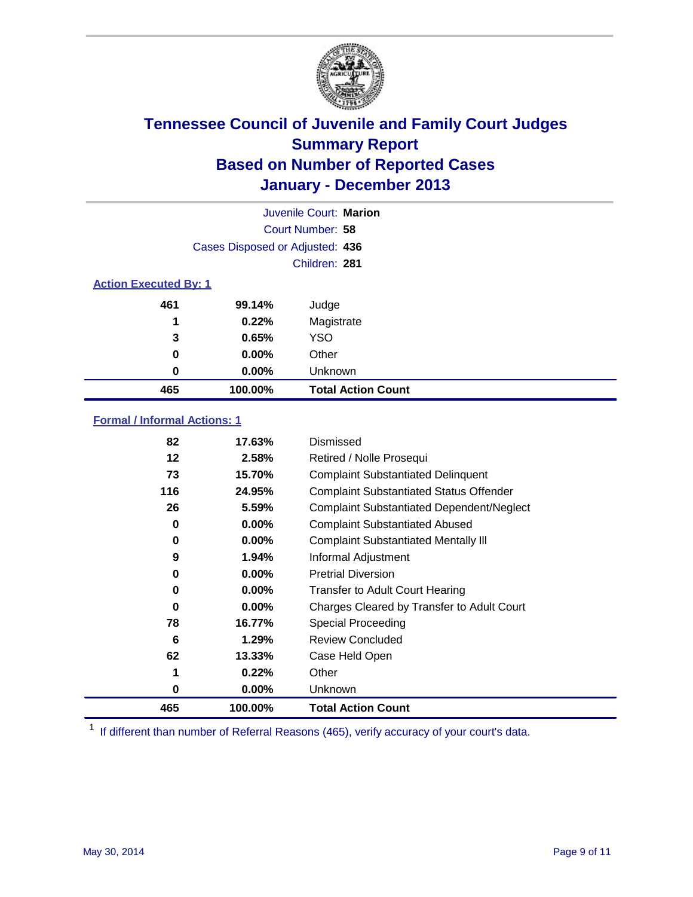

|                              |                                 | Juvenile Court: Marion    |  |  |
|------------------------------|---------------------------------|---------------------------|--|--|
|                              |                                 | Court Number: 58          |  |  |
|                              | Cases Disposed or Adjusted: 436 |                           |  |  |
|                              |                                 | Children: 281             |  |  |
| <b>Action Executed By: 1</b> |                                 |                           |  |  |
| 461                          | 99.14%                          | Judge                     |  |  |
| 1                            | 0.22%                           | Magistrate                |  |  |
| 3                            | 0.65%                           | <b>YSO</b>                |  |  |
| 0                            | $0.00\%$                        | Other                     |  |  |
| 0                            | $0.00\%$                        | Unknown                   |  |  |
| 465                          | 100.00%                         | <b>Total Action Count</b> |  |  |

### **Formal / Informal Actions: 1**

| 82  | 17.63%   | Dismissed                                        |
|-----|----------|--------------------------------------------------|
| 12  | 2.58%    | Retired / Nolle Prosequi                         |
| 73  | 15.70%   | <b>Complaint Substantiated Delinquent</b>        |
| 116 | 24.95%   | <b>Complaint Substantiated Status Offender</b>   |
| 26  | 5.59%    | <b>Complaint Substantiated Dependent/Neglect</b> |
| 0   | $0.00\%$ | <b>Complaint Substantiated Abused</b>            |
| 0   | $0.00\%$ | <b>Complaint Substantiated Mentally III</b>      |
| 9   | 1.94%    | Informal Adjustment                              |
| 0   | $0.00\%$ | <b>Pretrial Diversion</b>                        |
| 0   | 0.00%    | <b>Transfer to Adult Court Hearing</b>           |
| 0   | $0.00\%$ | Charges Cleared by Transfer to Adult Court       |
| 78  | 16.77%   | Special Proceeding                               |
| 6   | 1.29%    | <b>Review Concluded</b>                          |
| 62  | 13.33%   | Case Held Open                                   |
| 1   | 0.22%    | Other                                            |
| 0   | $0.00\%$ | <b>Unknown</b>                                   |
| 465 | 100.00%  | <b>Total Action Count</b>                        |

<sup>1</sup> If different than number of Referral Reasons (465), verify accuracy of your court's data.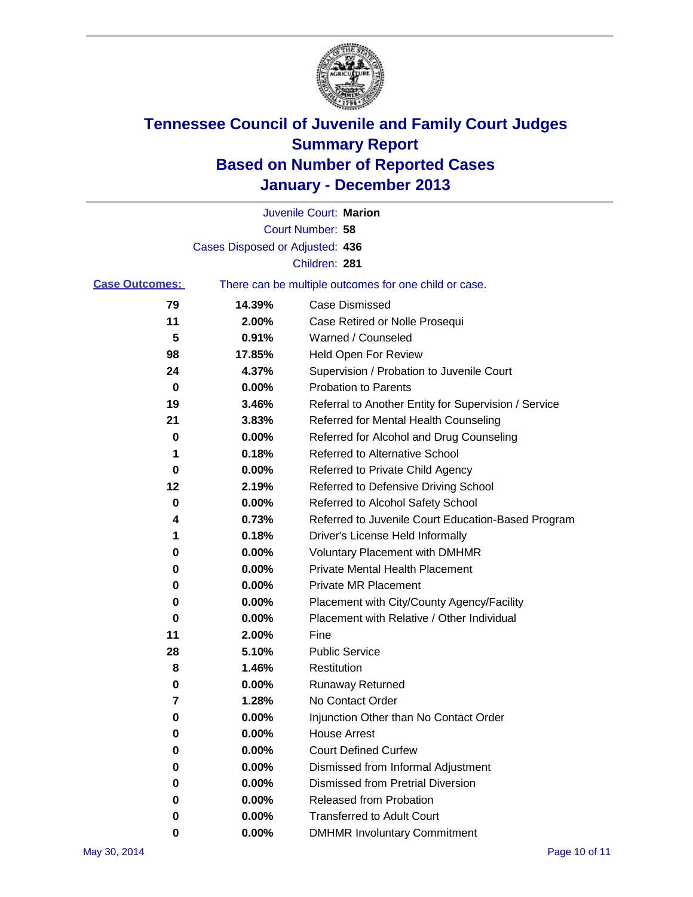

|                       |                                 | Juvenile Court: Marion                                |
|-----------------------|---------------------------------|-------------------------------------------------------|
|                       |                                 | Court Number: 58                                      |
|                       | Cases Disposed or Adjusted: 436 |                                                       |
|                       |                                 | Children: 281                                         |
| <b>Case Outcomes:</b> |                                 | There can be multiple outcomes for one child or case. |
| 79                    | 14.39%                          | Case Dismissed                                        |
| 11                    | 2.00%                           | Case Retired or Nolle Prosequi                        |
| 5                     | 0.91%                           | Warned / Counseled                                    |
| 98                    | 17.85%                          | Held Open For Review                                  |
| 24                    | 4.37%                           | Supervision / Probation to Juvenile Court             |
| 0                     | 0.00%                           | <b>Probation to Parents</b>                           |
| 19                    | 3.46%                           | Referral to Another Entity for Supervision / Service  |
| 21                    | 3.83%                           | Referred for Mental Health Counseling                 |
| 0                     | 0.00%                           | Referred for Alcohol and Drug Counseling              |
| 1                     | 0.18%                           | <b>Referred to Alternative School</b>                 |
| 0                     | 0.00%                           | Referred to Private Child Agency                      |
| 12                    | 2.19%                           | Referred to Defensive Driving School                  |
| 0                     | 0.00%                           | Referred to Alcohol Safety School                     |
| 4                     | 0.73%                           | Referred to Juvenile Court Education-Based Program    |
| 1                     | 0.18%                           | Driver's License Held Informally                      |
| 0                     | 0.00%                           | <b>Voluntary Placement with DMHMR</b>                 |
| 0                     | 0.00%                           | <b>Private Mental Health Placement</b>                |
| 0                     | 0.00%                           | <b>Private MR Placement</b>                           |
| 0                     | 0.00%                           | Placement with City/County Agency/Facility            |
| 0                     | 0.00%                           | Placement with Relative / Other Individual            |
| 11                    | 2.00%                           | Fine                                                  |
| 28                    | 5.10%                           | <b>Public Service</b>                                 |
| 8                     | 1.46%                           | Restitution                                           |
| 0                     | 0.00%                           | <b>Runaway Returned</b>                               |
| 7                     | 1.28%                           | No Contact Order                                      |
| 0                     | 0.00%                           | Injunction Other than No Contact Order                |
| 0                     | 0.00%                           | <b>House Arrest</b>                                   |
| 0                     | 0.00%                           | <b>Court Defined Curfew</b>                           |
| 0                     | 0.00%                           | Dismissed from Informal Adjustment                    |
| 0                     | 0.00%                           | <b>Dismissed from Pretrial Diversion</b>              |
| 0                     | 0.00%                           | <b>Released from Probation</b>                        |
| 0                     | 0.00%                           | <b>Transferred to Adult Court</b>                     |
| 0                     | $0.00\%$                        | <b>DMHMR Involuntary Commitment</b>                   |